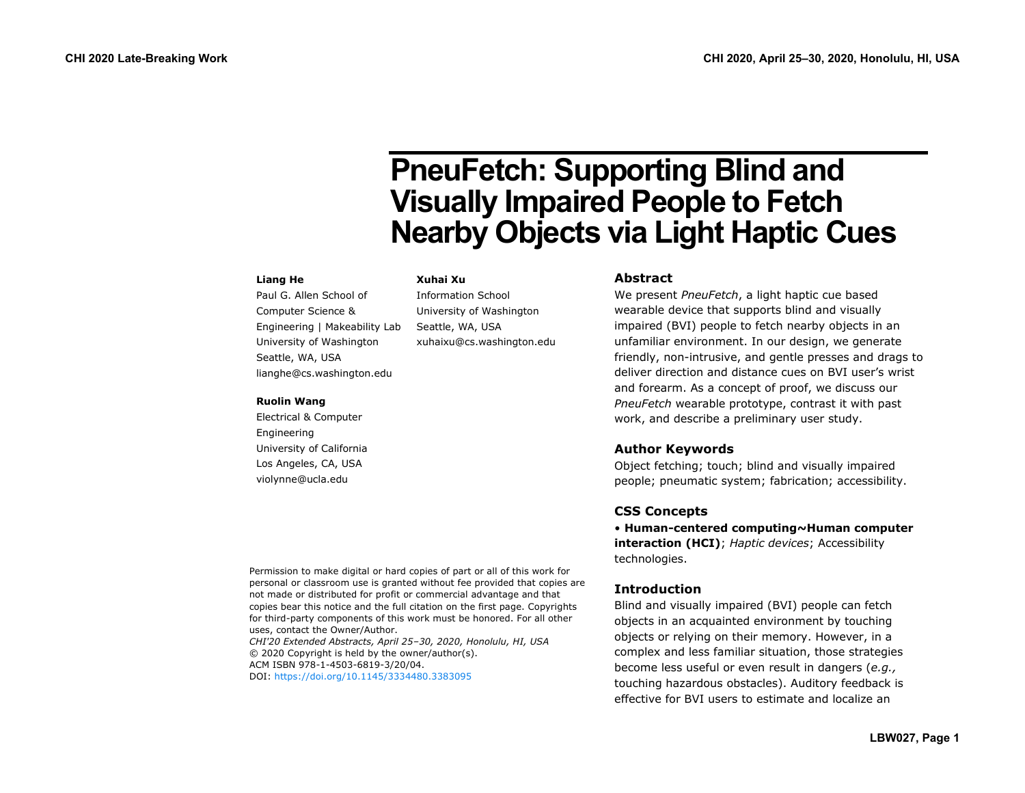# **PneuFetch: Supporting Blind and Visually Impaired People to Fetch Nearby Objects via Light Haptic Cues**

### **Liang He**

Paul G. Allen School of Computer Science & Engineering | Makeability Lab University of Washington Seattle, WA, USA lianghe@cs.washington.edu

### **Ruolin Wang**

Electrical & Computer Engineering University of California Los Angeles, CA, USA violynne@ucla.edu

## **Xuhai Xu**

Information School University of Washington Seattle, WA, USA xuhaixu@cs.washington.edu

## **Abstract**

We present *PneuFetch*, a light haptic cue based wearable device that supports blind and visually impaired (BVI) people to fetch nearby objects in an unfamiliar environment. In our design, we generate friendly, non-intrusive, and gentle presses and drags to deliver direction and distance cues on BVI user's wrist and forearm. As a concept of proof, we discuss our *PneuFetch* wearable prototype, contrast it with past work, and describe a preliminary user study.

# **Author Keywords**

Object fetching; touch; blind and visually impaired people; pneumatic system; fabrication; accessibility.

# **CSS Concepts**

• **Human-centered computing~Human computer interaction (HCI)**; *Haptic devices*; Accessibility technologies.

# **Introduction**

Blind and visually impaired (BVI) people can fetch objects in an acquainted environment by touching objects or relying on their memory. However, in a complex and less familiar situation, those strategies become less useful or even result in dangers (*e.g.,* touching hazardous obstacles). Auditory feedback is effective for BVI users to estimate and localize an

Permission to make digital or hard copies of part or all of this work for personal or classroom use is granted without fee provided that copies are not made or distributed for profit or commercial advantage and that copies bear this notice and the full citation on the first page. Copyrights for third-party components of this work must be honored. For all other uses, contact the Owner/Author.

*CHI'20 Extended Abstracts, April 25–30, 2020, Honolulu, HI, USA* © 2020 Copyright is held by the owner/author(s). ACM ISBN 978-1-4503-6819-3/20/04. DOI:<https://doi.org/10.1145/3334480.3383095>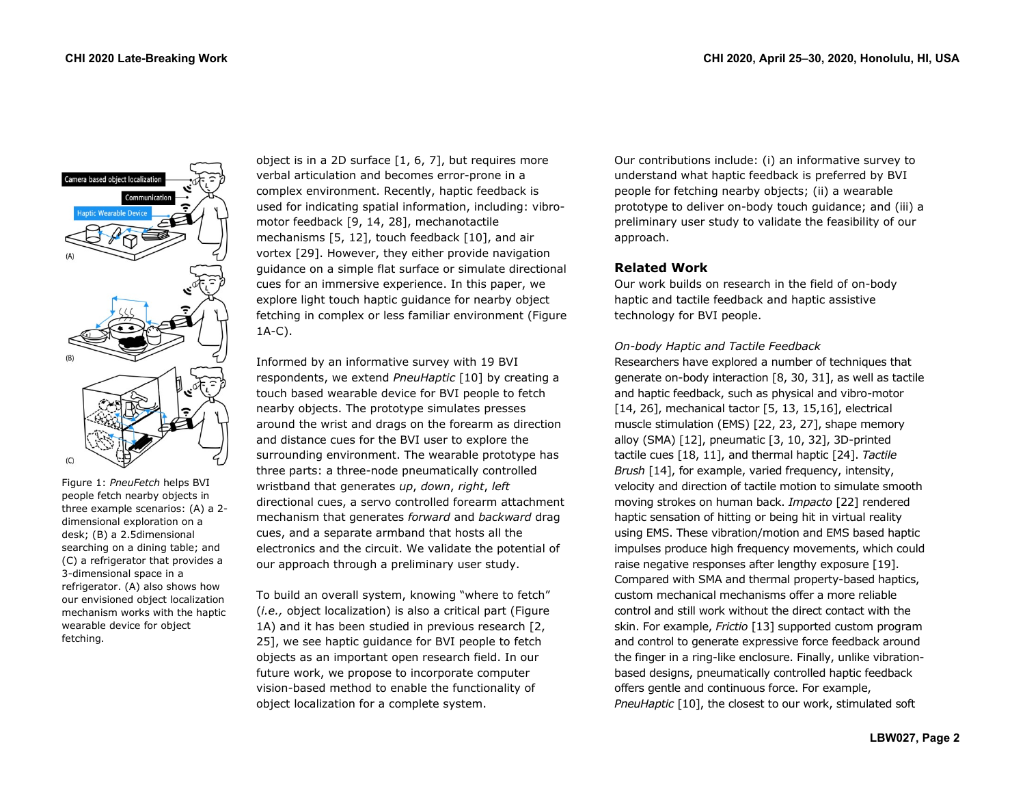

Figure 1: *PneuFetch* helps BVI people fetch nearby objects in three example scenarios: (A) a 2 dimensional exploration on a desk; (B) a 2.5dimensional searching on a dining table; and (C) a refrigerator that provides a 3-dimensional space in a refrigerator. (A) also shows how our envisioned object localization mechanism works with the haptic wearable device for object fetching.

object is in a 2D surface [1, 6, 7], but requires more verbal articulation and becomes error-prone in a complex environment. Recently, haptic feedback is used for indicating spatial information, including: vibromotor feedback [9, 14, 28], mechanotactile mechanisms [5, 12], touch feedback [10], and air vortex [29]. However, they either provide navigation guidance on a simple flat surface or simulate directional cues for an immersive experience. In this paper, we explore light touch haptic guidance for nearby object fetching in complex or less familiar environment (Figure 1A-C).

Informed by an informative survey with 19 BVI respondents, we extend *PneuHaptic* [10] by creating a touch based wearable device for BVI people to fetch nearby objects. The prototype simulates presses around the wrist and drags on the forearm as direction and distance cues for the BVI user to explore the surrounding environment. The wearable prototype has three parts: a three-node pneumatically controlled wristband that generates *up*, *down*, *right*, *left* directional cues, a servo controlled forearm attachment mechanism that generates *forward* and *backward* drag cues, and a separate armband that hosts all the electronics and the circuit. We validate the potential of our approach through a preliminary user study.

To build an overall system, knowing "where to fetch" (*i.e.,* object localization) is also a critical part (Figure 1A) and it has been studied in previous research [2, 25], we see haptic guidance for BVI people to fetch objects as an important open research field. In our future work, we propose to incorporate computer vision-based method to enable the functionality of object localization for a complete system.

Our contributions include: (i) an informative survey to understand what haptic feedback is preferred by BVI people for fetching nearby objects; (ii) a wearable prototype to deliver on-body touch guidance; and (iii) a preliminary user study to validate the feasibility of our approach.

# **Related Work**

Our work builds on research in the field of on-body haptic and tactile feedback and haptic assistive technology for BVI people.

# *On-body Haptic and Tactile Feedback*

Researchers have explored a number of techniques that generate on-body interaction [8, 30, 31], as well as tactile and haptic feedback, such as physical and vibro-motor [14, 26], mechanical tactor [5, 13, 15,16], electrical muscle stimulation (EMS) [22, 23, 27], shape memory alloy (SMA) [12], pneumatic [3, 10, 32], 3D-printed tactile cues [18, 11], and thermal haptic [24]. *Tactile Brush* [14], for example, varied frequency, intensity, velocity and direction of tactile motion to simulate smooth moving strokes on human back. *Impacto* [22] rendered haptic sensation of hitting or being hit in virtual reality using EMS. These vibration/motion and EMS based haptic impulses produce high frequency movements, which could raise negative responses after lengthy exposure [19]. Compared with SMA and thermal property-based haptics, custom mechanical mechanisms offer a more reliable control and still work without the direct contact with the skin. For example, *Frictio* [13] supported custom program and control to generate expressive force feedback around the finger in a ring-like enclosure. Finally, unlike vibrationbased designs, pneumatically controlled haptic feedback offers gentle and continuous force. For example, *PneuHaptic* [10], the closest to our work, stimulated soft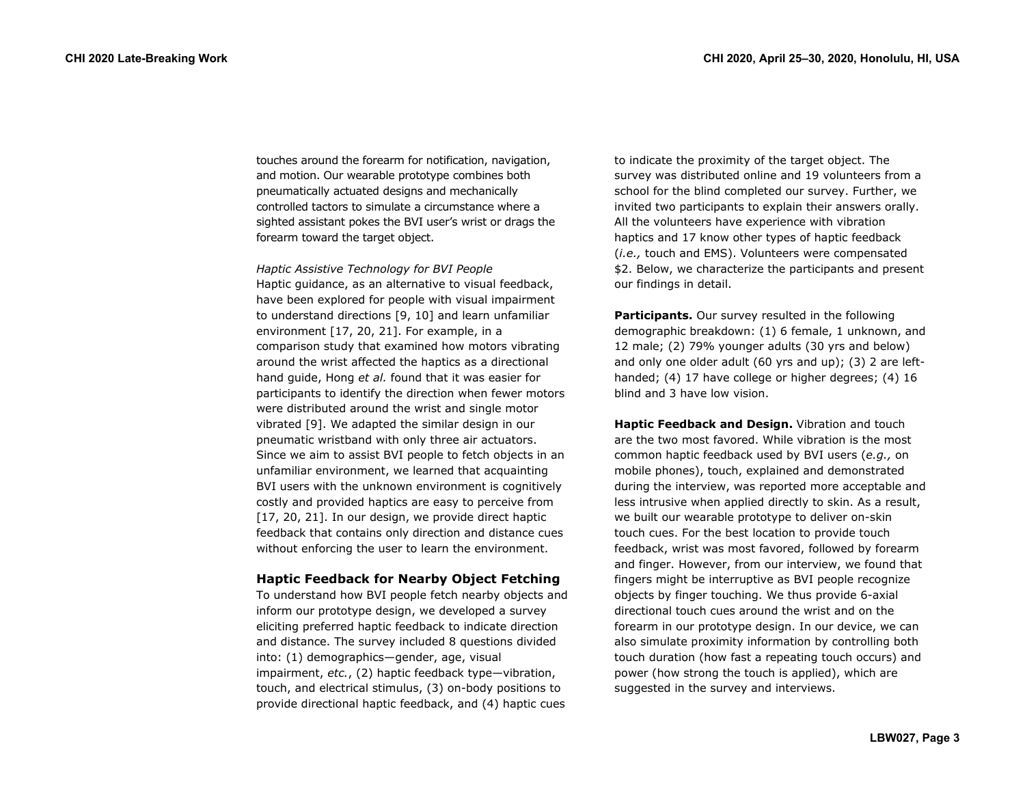touches around the forearm for notification, navigation, and motion. Our wearable prototype combines both pneumatically actuated designs and mechanically controlled tactors to simulate a circumstance where a sighted assistant pokes the BVI user's wrist or drags the forearm toward the target object.

*Haptic Assistive Technology for BVI People* Haptic guidance, as an alternative to visual feedback, have been explored for people with visual impairment to understand directions [9, 10] and learn unfamiliar environment [17, 20, 21]. For example, in a comparison study that examined how motors vibrating around the wrist affected the haptics as a directional hand guide, Hong *et al.* found that it was easier for participants to identify the direction when fewer motors were distributed around the wrist and single motor vibrated [9]. We adapted the similar design in our pneumatic wristband with only three air actuators. Since we aim to assist BVI people to fetch objects in an unfamiliar environment, we learned that acquainting BVI users with the unknown environment is cognitively costly and provided haptics are easy to perceive from [17, 20, 21]. In our design, we provide direct haptic feedback that contains only direction and distance cues without enforcing the user to learn the environment.

## **Haptic Feedback for Nearby Object Fetching**

To understand how BVI people fetch nearby objects and inform our prototype design, we developed a survey eliciting preferred haptic feedback to indicate direction and distance. The survey included 8 questions divided into: (1) demographics—gender, age, visual impairment, *etc.*, (2) haptic feedback type—vibration, touch, and electrical stimulus, (3) on-body positions to provide directional haptic feedback, and (4) haptic cues

to indicate the proximity of the target object. The survey was distributed online and 19 volunteers from a school for the blind completed our survey. Further, we invited two participants to explain their answers orally. All the volunteers have experience with vibration haptics and 17 know other types of haptic feedback (*i.e.,* touch and EMS). Volunteers were compensated \$2. Below, we characterize the participants and present our findings in detail.

**Participants.** Our survey resulted in the following demographic breakdown: (1) 6 female, 1 unknown, and 12 male; (2) 79% younger adults (30 yrs and below) and only one older adult (60 yrs and up); (3) 2 are lefthanded; (4) 17 have college or higher degrees; (4) 16 blind and 3 have low vision.

**Haptic Feedback and Design.** Vibration and touch are the two most favored. While vibration is the most common haptic feedback used by BVI users (*e.g.,* on mobile phones), touch, explained and demonstrated during the interview, was reported more acceptable and less intrusive when applied directly to skin. As a result, we built our wearable prototype to deliver on-skin touch cues. For the best location to provide touch feedback, wrist was most favored, followed by forearm and finger. However, from our interview, we found that fingers might be interruptive as BVI people recognize objects by finger touching. We thus provide 6-axial directional touch cues around the wrist and on the forearm in our prototype design. In our device, we can also simulate proximity information by controlling both touch duration (how fast a repeating touch occurs) and power (how strong the touch is applied), which are suggested in the survey and interviews.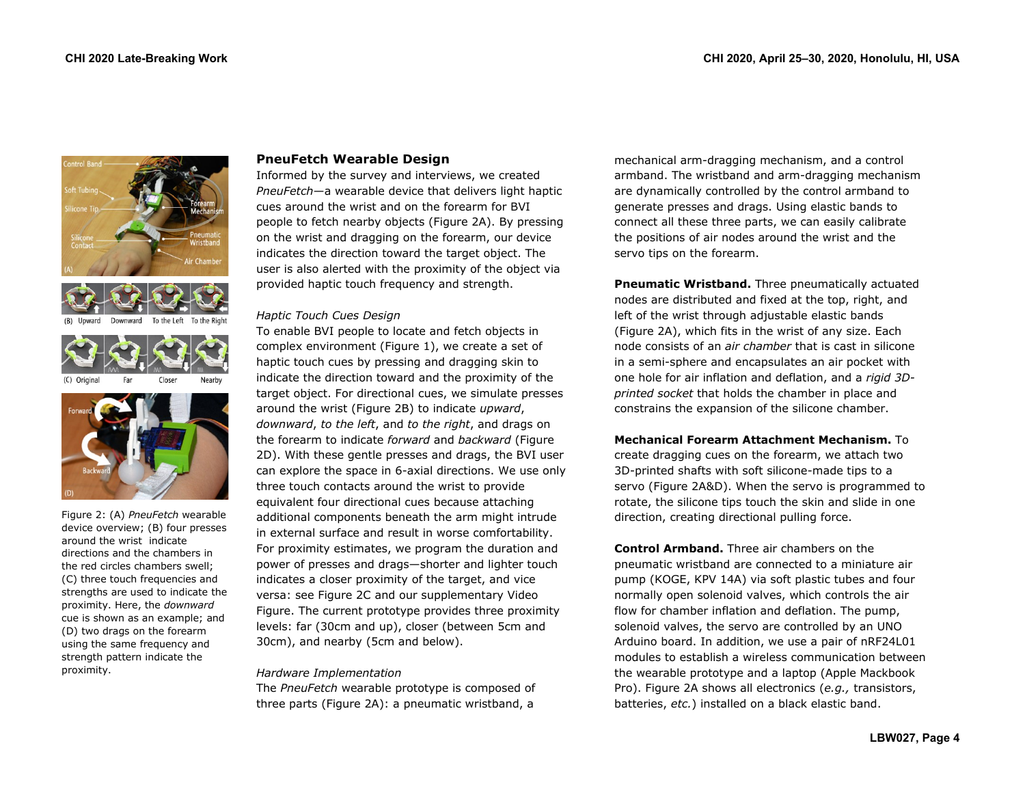







Figure 2: (A) *PneuFetch* wearable device overview; (B) four presses around the wrist indicate directions and the chambers in the red circles chambers swell; (C) three touch frequencies and strengths are used to indicate the proximity. Here, the *downward*  cue is shown as an example; and (D) two drags on the forearm using the same frequency and strength pattern indicate the proximity.

# **PneuFetch Wearable Design**

Informed by the survey and interviews, we created *PneuFetch*—a wearable device that delivers light haptic cues around the wrist and on the forearm for BVI people to fetch nearby objects (Figure 2A). By pressing on the wrist and dragging on the forearm, our device indicates the direction toward the target object. The user is also alerted with the proximity of the object via provided haptic touch frequency and strength.

# *Haptic Touch Cues Design*

To enable BVI people to locate and fetch objects in complex environment (Figure 1), we create a set of haptic touch cues by pressing and dragging skin to indicate the direction toward and the proximity of the target object. For directional cues, we simulate presses around the wrist (Figure 2B) to indicate *upward*, *downward*, *to the left*, and *to the right*, and drags on the forearm to indicate *forward* and *backward* (Figure 2D). With these gentle presses and drags, the BVI user can explore the space in 6-axial directions. We use only three touch contacts around the wrist to provide equivalent four directional cues because attaching additional components beneath the arm might intrude in external surface and result in worse comfortability. For proximity estimates, we program the duration and power of presses and drags—shorter and lighter touch indicates a closer proximity of the target, and vice versa: see Figure 2C and our supplementary Video Figure. The current prototype provides three proximity levels: far (30cm and up), closer (between 5cm and 30cm), and nearby (5cm and below).

# *Hardware Implementation*

The *PneuFetch* wearable prototype is composed of three parts (Figure 2A): a pneumatic wristband, a

mechanical arm-dragging mechanism, and a control armband. The wristband and arm-dragging mechanism are dynamically controlled by the control armband to generate presses and drags. Using elastic bands to connect all these three parts, we can easily calibrate the positions of air nodes around the wrist and the servo tips on the forearm.

**Pneumatic Wristband.** Three pneumatically actuated nodes are distributed and fixed at the top, right, and left of the wrist through adjustable elastic bands (Figure 2A), which fits in the wrist of any size. Each node consists of an *air chamber* that is cast in silicone in a semi-sphere and encapsulates an air pocket with one hole for air inflation and deflation, and a *rigid 3Dprinted socket* that holds the chamber in place and constrains the expansion of the silicone chamber.

**Mechanical Forearm Attachment Mechanism.** To create dragging cues on the forearm, we attach two 3D-printed shafts with soft silicone-made tips to a servo (Figure 2A&D). When the servo is programmed to rotate, the silicone tips touch the skin and slide in one direction, creating directional pulling force.

**Control Armband.** Three air chambers on the pneumatic wristband are connected to a miniature air pump (KOGE, KPV 14A) via soft plastic tubes and four normally open solenoid valves, which controls the air flow for chamber inflation and deflation. The pump, solenoid valves, the servo are controlled by an UNO Arduino board. In addition, we use a pair of nRF24L01 modules to establish a wireless communication between the wearable prototype and a laptop (Apple Mackbook Pro). Figure 2A shows all electronics (*e.g.,* transistors, batteries, *etc.*) installed on a black elastic band.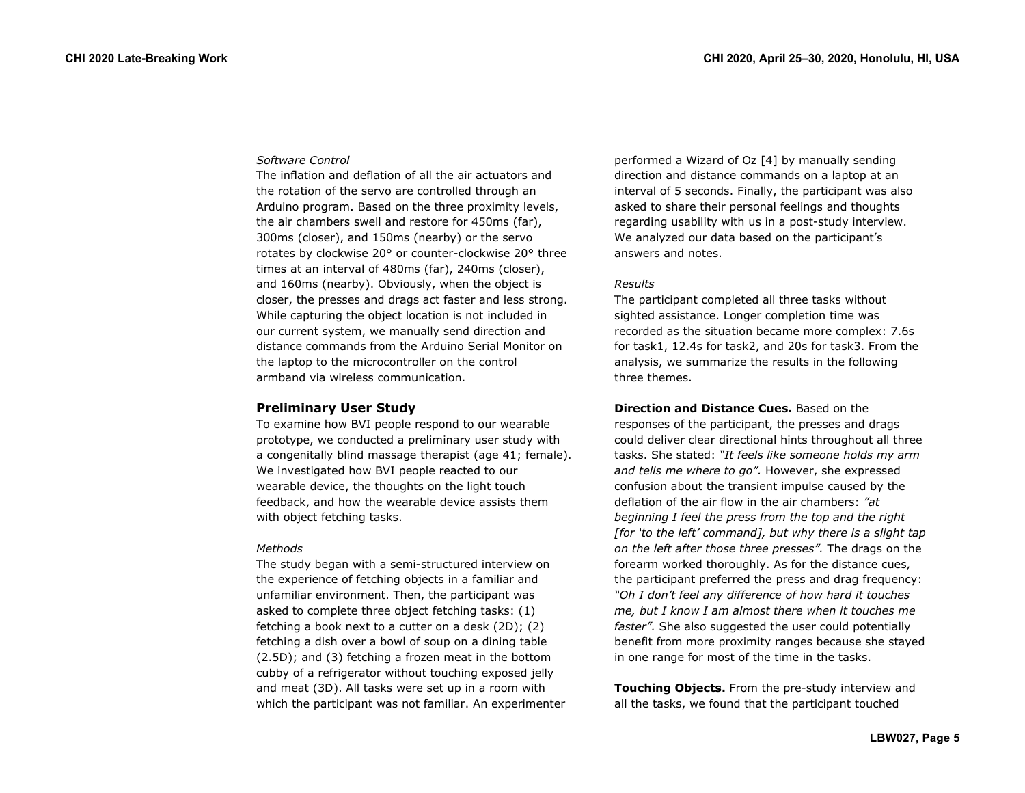## *Software Control*

The inflation and deflation of all the air actuators and the rotation of the servo are controlled through an Arduino program. Based on the three proximity levels, the air chambers swell and restore for 450ms (far), 300ms (closer), and 150ms (nearby) or the servo rotates by clockwise 20° or counter-clockwise 20° three times at an interval of 480ms (far), 240ms (closer), and 160ms (nearby). Obviously, when the object is closer, the presses and drags act faster and less strong. While capturing the object location is not included in our current system, we manually send direction and distance commands from the Arduino Serial Monitor on the laptop to the microcontroller on the control armband via wireless communication.

# **Preliminary User Study**

To examine how BVI people respond to our wearable prototype, we conducted a preliminary user study with a congenitally blind massage therapist (age 41; female). We investigated how BVI people reacted to our wearable device, the thoughts on the light touch feedback, and how the wearable device assists them with object fetching tasks.

### *Methods*

The study began with a semi-structured interview on the experience of fetching objects in a familiar and unfamiliar environment. Then, the participant was asked to complete three object fetching tasks: (1) fetching a book next to a cutter on a desk (2D); (2) fetching a dish over a bowl of soup on a dining table (2.5D); and (3) fetching a frozen meat in the bottom cubby of a refrigerator without touching exposed jelly and meat (3D). All tasks were set up in a room with which the participant was not familiar. An experimenter performed a Wizard of Oz [4] by manually sending direction and distance commands on a laptop at an interval of 5 seconds. Finally, the participant was also asked to share their personal feelings and thoughts regarding usability with us in a post-study interview. We analyzed our data based on the participant's answers and notes.

## *Results*

The participant completed all three tasks without sighted assistance. Longer completion time was recorded as the situation became more complex: 7.6s for task1, 12.4s for task2, and 20s for task3. From the analysis, we summarize the results in the following three themes.

**Direction and Distance Cues.** Based on the responses of the participant, the presses and drags could deliver clear directional hints throughout all three tasks. She stated: *"It feels like someone holds my arm and tells me where to go".* However, she expressed confusion about the transient impulse caused by the deflation of the air flow in the air chambers: *"at beginning I feel the press from the top and the right [for 'to the left' command], but why there is a slight tap on the left after those three presses".* The drags on the forearm worked thoroughly. As for the distance cues, the participant preferred the press and drag frequency: *"Oh I don't feel any difference of how hard it touches me, but I know I am almost there when it touches me faster".* She also suggested the user could potentially benefit from more proximity ranges because she stayed in one range for most of the time in the tasks.

**Touching Objects.** From the pre-study interview and all the tasks, we found that the participant touched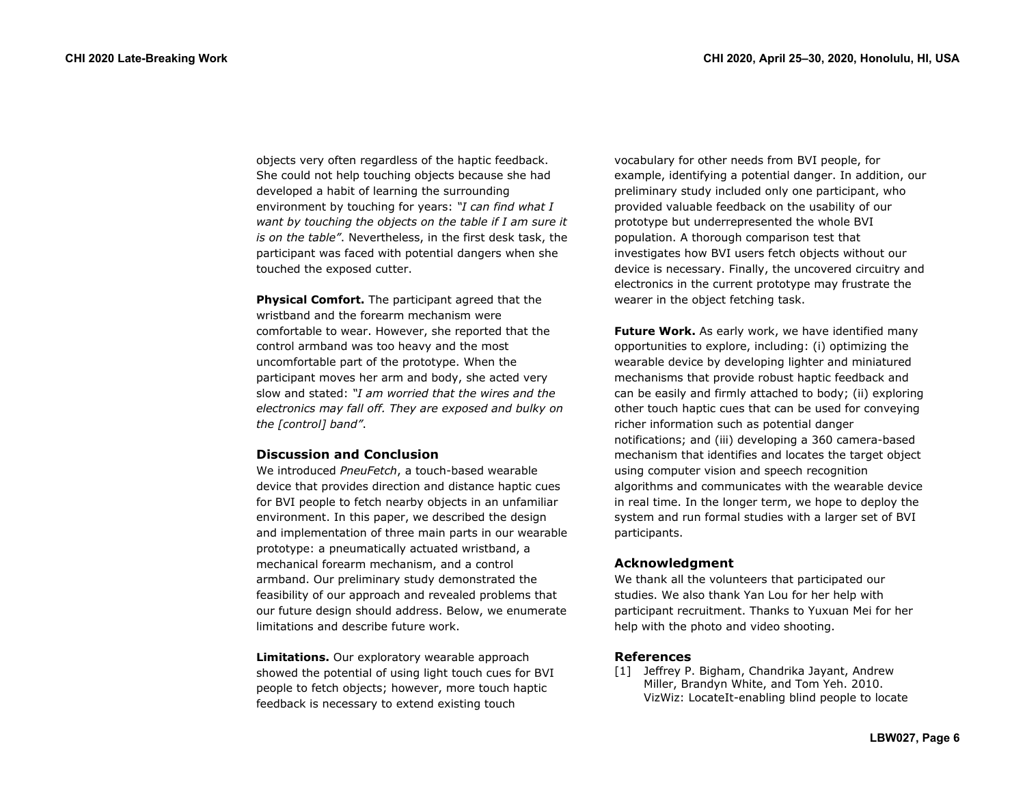objects very often regardless of the haptic feedback. She could not help touching objects because she had developed a habit of learning the surrounding environment by touching for years: *"I can find what I want by touching the objects on the table if I am sure it is on the table"*. Nevertheless, in the first desk task, the participant was faced with potential dangers when she touched the exposed cutter.

**Physical Comfort.** The participant agreed that the wristband and the forearm mechanism were comfortable to wear. However, she reported that the control armband was too heavy and the most uncomfortable part of the prototype. When the participant moves her arm and body, she acted very slow and stated: *"I am worried that the wires and the electronics may fall off. They are exposed and bulky on the [control] band"*.

## **Discussion and Conclusion**

We introduced *PneuFetch*, a touch-based wearable device that provides direction and distance haptic cues for BVI people to fetch nearby objects in an unfamiliar environment. In this paper, we described the design and implementation of three main parts in our wearable prototype: a pneumatically actuated wristband, a mechanical forearm mechanism, and a control armband. Our preliminary study demonstrated the feasibility of our approach and revealed problems that our future design should address. Below, we enumerate limitations and describe future work.

**Limitations.** Our exploratory wearable approach showed the potential of using light touch cues for BVI people to fetch objects; however, more touch haptic feedback is necessary to extend existing touch

vocabulary for other needs from BVI people, for example, identifying a potential danger. In addition, our preliminary study included only one participant, who provided valuable feedback on the usability of our prototype but underrepresented the whole BVI population. A thorough comparison test that investigates how BVI users fetch objects without our device is necessary. Finally, the uncovered circuitry and electronics in the current prototype may frustrate the wearer in the object fetching task.

**Future Work.** As early work, we have identified many opportunities to explore, including: (i) optimizing the wearable device by developing lighter and miniatured mechanisms that provide robust haptic feedback and can be easily and firmly attached to body; (ii) exploring other touch haptic cues that can be used for conveying richer information such as potential danger notifications; and (iii) developing a 360 camera-based mechanism that identifies and locates the target object using computer vision and speech recognition algorithms and communicates with the wearable device in real time. In the longer term, we hope to deploy the system and run formal studies with a larger set of BVI participants.

## **Acknowledgment**

We thank all the volunteers that participated our studies. We also thank Yan Lou for her help with participant recruitment. Thanks to Yuxuan Mei for her help with the photo and video shooting.

# **References**

[1] Jeffrey P. Bigham, Chandrika Jayant, Andrew Miller, Brandyn White, and Tom Yeh. 2010. VizWiz: LocateIt-enabling blind people to locate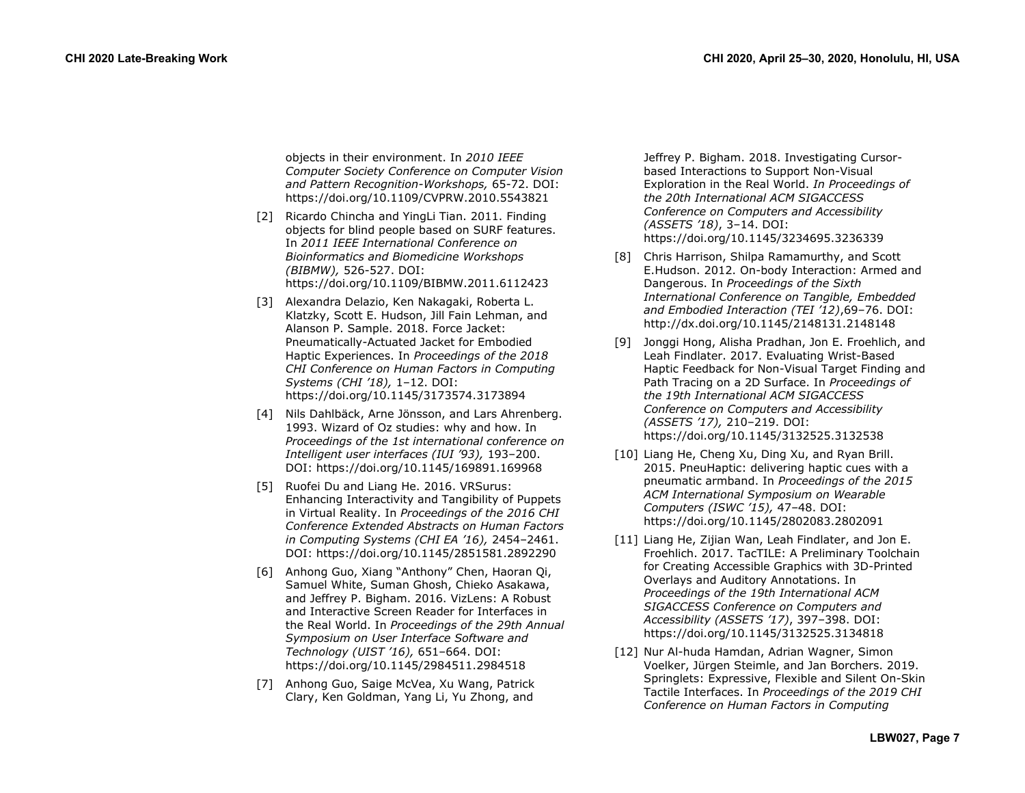objects in their environment. In *2010 IEEE Computer Society Conference on Computer Vision and Pattern Recognition-Workshops,* 65-72. DOI: <https://doi.org/10.1109/CVPRW.2010.5543821>

- [2] Ricardo Chincha and YingLi Tian. 2011. Finding objects for blind people based on SURF features. In *2011 IEEE International Conference on Bioinformatics and Biomedicine Workshops (BIBMW),* 526-527. DOI: <https://doi.org/10.1109/BIBMW.2011.6112423>
- [3] Alexandra Delazio, Ken Nakagaki, Roberta L. Klatzky, Scott E. Hudson, Jill Fain Lehman, and Alanson P. Sample. 2018. Force Jacket: Pneumatically-Actuated Jacket for Embodied Haptic Experiences. In *Proceedings of the 2018 CHI Conference on Human Factors in Computing Systems (CHI '18),* 1–12. DOI: <https://doi.org/10.1145/3173574.3173894>
- [4] Nils Dahlbäck, Arne Jönsson, and Lars Ahrenberg. 1993. Wizard of Oz studies: why and how. In *Proceedings of the 1st international conference on Intelligent user interfaces (IUI '93),* 193–200. DOI:<https://doi.org/10.1145/169891.169968>
- [5] Ruofei Du and Liang He. 2016. VRSurus: Enhancing Interactivity and Tangibility of Puppets in Virtual Reality. In *Proceedings of the 2016 CHI Conference Extended Abstracts on Human Factors in Computing Systems (CHI EA '16),* 2454–2461. DOI: [https://doi.org/10.1145/2851581.2892290](https://doi.org/10.1145/2851581.2892290%20%5b5)
- [6] Anhong Guo, Xiang "Anthony" Chen, Haoran Qi, Samuel White, Suman Ghosh, Chieko Asakawa, and Jeffrey P. Bigham. 2016. VizLens: A Robust and Interactive Screen Reader for Interfaces in the Real World. In *Proceedings of the 29th Annual Symposium on User Interface Software and Technology (UIST '16),* 651–664. DOI: <https://doi.org/10.1145/2984511.2984518>
- [7] Anhong Guo, Saige McVea, Xu Wang, Patrick Clary, Ken Goldman, Yang Li, Yu Zhong, and

Jeffrey P. Bigham. 2018. Investigating Cursorbased Interactions to Support Non-Visual Exploration in the Real World. *In Proceedings of the 20th International ACM SIGACCESS Conference on Computers and Accessibility (ASSETS '18)*, 3–14. DOI: <https://doi.org/10.1145/3234695.3236339>

- [8] Chris Harrison, Shilpa Ramamurthy, and Scott E.Hudson. 2012. On-body Interaction: Armed and Dangerous. In *Proceedings of the Sixth International Conference on Tangible, Embedded and Embodied Interaction (TEI '12)*,69–76. DOI: <http://dx.doi.org/10.1145/2148131.2148148>
- [9] Jonggi Hong, Alisha Pradhan, Jon E. Froehlich, and Leah Findlater. 2017. Evaluating Wrist-Based Haptic Feedback for Non-Visual Target Finding and Path Tracing on a 2D Surface. In *Proceedings of the 19th International ACM SIGACCESS Conference on Computers and Accessibility (ASSETS '17),* 210–219. DOI: <https://doi.org/10.1145/3132525.3132538>
- [10] Liang He, Cheng Xu, Ding Xu, and Ryan Brill. 2015. PneuHaptic: delivering haptic cues with a pneumatic armband. In *Proceedings of the 2015 ACM International Symposium on Wearable Computers (ISWC '15),* 47–48. DOI: <https://doi.org/10.1145/2802083.2802091>
- [11] Liang He, Zijian Wan, Leah Findlater, and Jon E. Froehlich. 2017. TacTILE: A Preliminary Toolchain for Creating Accessible Graphics with 3D-Printed Overlays and Auditory Annotations. In *Proceedings of the 19th International ACM SIGACCESS Conference on Computers and Accessibility (ASSETS '17)*, 397–398. DOI: <https://doi.org/10.1145/3132525.3134818>
- [12] Nur Al-huda Hamdan, Adrian Wagner, Simon Voelker, Jürgen Steimle, and Jan Borchers. 2019. Springlets: Expressive, Flexible and Silent On-Skin Tactile Interfaces. In *Proceedings of the 2019 CHI Conference on Human Factors in Computing*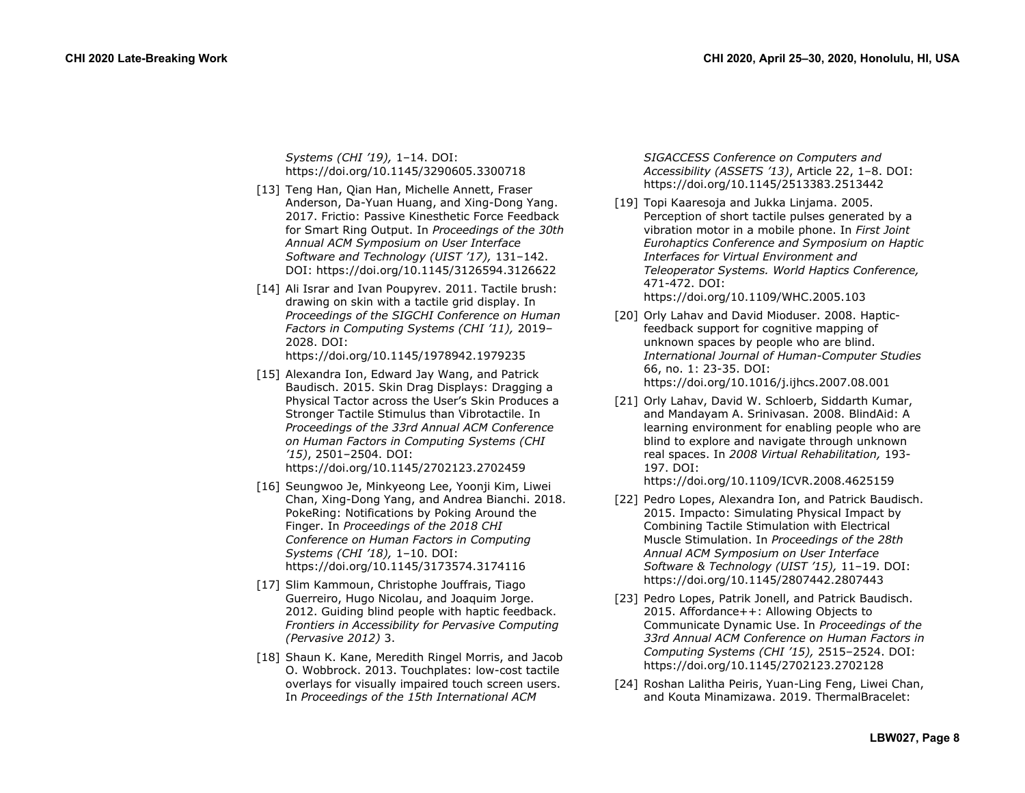*Systems (CHI '19),* 1–14. DOI: <https://doi.org/10.1145/3290605.3300718>

- [13] Teng Han, Qian Han, Michelle Annett, Fraser Anderson, Da-Yuan Huang, and Xing-Dong Yang. 2017. Frictio: Passive Kinesthetic Force Feedback for Smart Ring Output. In *Proceedings of the 30th Annual ACM Symposium on User Interface Software and Technology (UIST '17),* 131–142. DOI:<https://doi.org/10.1145/3126594.3126622>
- [14] Ali Israr and Ivan Poupyrev. 2011. Tactile brush: drawing on skin with a tactile grid display. In *Proceedings of the SIGCHI Conference on Human Factors in Computing Systems (CHI '11),* 2019– 2028. DOI: <https://doi.org/10.1145/1978942.1979235>
- [15] Alexandra Ion, Edward Jay Wang, and Patrick Baudisch. 2015. Skin Drag Displays: Dragging a Physical Tactor across the User's Skin Produces a Stronger Tactile Stimulus than Vibrotactile. In *Proceedings of the 33rd Annual ACM Conference on Human Factors in Computing Systems (CHI '15)*, 2501–2504. DOI: <https://doi.org/10.1145/2702123.2702459>
- [16] Seungwoo Je, Minkyeong Lee, Yoonji Kim, Liwei Chan, Xing-Dong Yang, and Andrea Bianchi. 2018. PokeRing: Notifications by Poking Around the Finger. In *Proceedings of the 2018 CHI Conference on Human Factors in Computing Systems (CHI '18),* 1–10. DOI: <https://doi.org/10.1145/3173574.3174116>
- [17] Slim Kammoun, Christophe Jouffrais, Tiago Guerreiro, Hugo Nicolau, and Joaquim Jorge. 2012. Guiding blind people with haptic feedback. *Frontiers in Accessibility for Pervasive Computing (Pervasive 2012)* 3.
- [18] Shaun K. Kane, Meredith Ringel Morris, and Jacob O. Wobbrock. 2013. Touchplates: low-cost tactile overlays for visually impaired touch screen users. In *Proceedings of the 15th International ACM*

*SIGACCESS Conference on Computers and Accessibility (ASSETS '13)*, Article 22, 1–8. DOI: <https://doi.org/10.1145/2513383.2513442>

- [19] Topi Kaaresoja and Jukka Linjama. 2005. Perception of short tactile pulses generated by a vibration motor in a mobile phone. In *First Joint Eurohaptics Conference and Symposium on Haptic Interfaces for Virtual Environment and Teleoperator Systems. World Haptics Conference,* 471-472. DOI: <https://doi.org/10.1109/WHC.2005.103>
- [20] Orly Lahav and David Mioduser. 2008. Hapticfeedback support for cognitive mapping of unknown spaces by people who are blind. *International Journal of Human-Computer Studies* 66, no. 1: 23-35. DOI: <https://doi.org/10.1016/j.ijhcs.2007.08.001>
- [21] Orly Lahav, David W. Schloerb, Siddarth Kumar, and Mandayam A. Srinivasan. 2008. BlindAid: A learning environment for enabling people who are blind to explore and navigate through unknown real spaces. In *2008 Virtual Rehabilitation,* 193- 197. DOI: <https://doi.org/10.1109/ICVR.2008.4625159>
- [22] Pedro Lopes, Alexandra Ion, and Patrick Baudisch. 2015. Impacto: Simulating Physical Impact by Combining Tactile Stimulation with Electrical Muscle Stimulation. In *Proceedings of the 28th Annual ACM Symposium on User Interface Software & Technology (UIST '15),* 11–19. DOI: <https://doi.org/10.1145/2807442.2807443>
- [23] Pedro Lopes, Patrik Jonell, and Patrick Baudisch. 2015. Affordance++: Allowing Objects to Communicate Dynamic Use. In *Proceedings of the 33rd Annual ACM Conference on Human Factors in Computing Systems (CHI '15),* 2515–2524. DOI: <https://doi.org/10.1145/2702123.2702128>
- [24] Roshan Lalitha Peiris, Yuan-Ling Feng, Liwei Chan, and Kouta Minamizawa. 2019. ThermalBracelet: